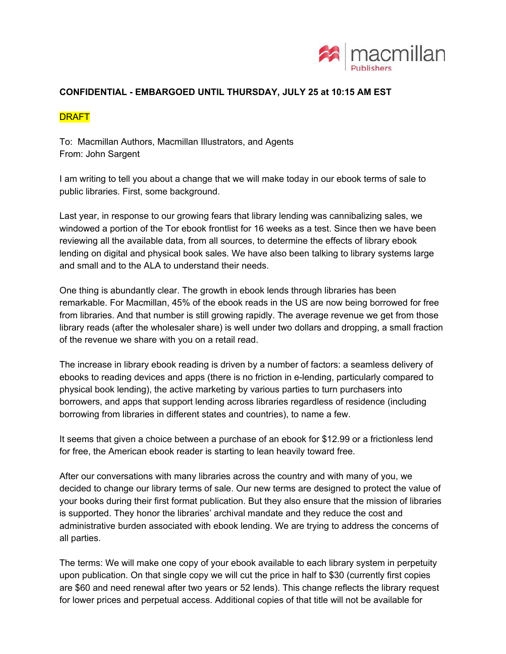

## **CONFIDENTIAL - EMBARGOED UNTIL THURSDAY, JULY 25 at 10:15 AM EST**

## **DRAFT**

To: Macmillan Authors, Macmillan Illustrators, and Agents From: John Sargent

I am writing to tell you about a change that we will make today in our ebook terms of sale to public libraries. First, some background.

Last year, in response to our growing fears that library lending was cannibalizing sales, we windowed a portion of the Tor ebook frontlist for 16 weeks as a test. Since then we have been reviewing all the available data, from all sources, to determine the effects of library ebook lending on digital and physical book sales. We have also been talking to library systems large and small and to the ALA to understand their needs.

One thing is abundantly clear. The growth in ebook lends through libraries has been remarkable. For Macmillan, 45% of the ebook reads in the US are now being borrowed for free from libraries. And that number is still growing rapidly. The average revenue we get from those library reads (after the wholesaler share) is well under two dollars and dropping, a small fraction of the revenue we share with you on a retail read.

The increase in library ebook reading is driven by a number of factors: a seamless delivery of ebooks to reading devices and apps (there is no friction in e-lending, particularly compared to physical book lending), the active marketing by various parties to turn purchasers into borrowers, and apps that support lending across libraries regardless of residence (including borrowing from libraries in different states and countries), to name a few.

It seems that given a choice between a purchase of an ebook for \$12.99 or a frictionless lend for free, the American ebook reader is starting to lean heavily toward free.

After our conversations with many libraries across the country and with many of you, we decided to change our library terms of sale. Our new terms are designed to protect the value of your books during their first format publication. But they also ensure that the mission of libraries is supported. They honor the libraries' archival mandate and they reduce the cost and administrative burden associated with ebook lending. We are trying to address the concerns of all parties.

The terms: We will make one copy of your ebook available to each library system in perpetuity upon publication. On that single copy we will cut the price in half to \$30 (currently first copies are \$60 and need renewal after two years or 52 lends). This change reflects the library request for lower prices and perpetual access. Additional copies of that title will not be available for